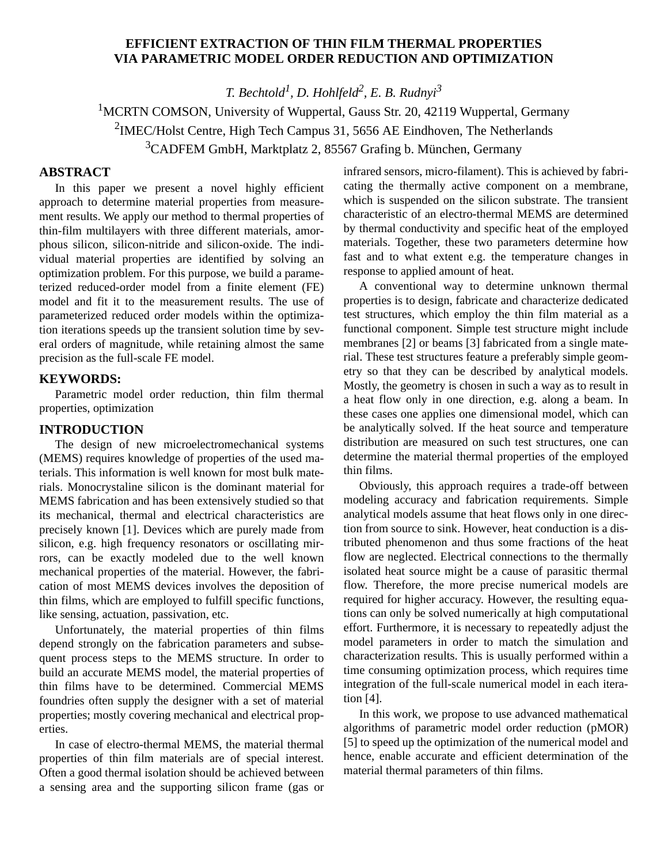# **EFFICIENT EXTRACTION OF THIN FILM THERMAL PROPERTIES VIA PARAMETRIC MODEL ORDER REDUCTION AND OPTIMIZATION**

*T. Bechtold1, D. Hohlfeld2, E. B. Rudnyi3*

<sup>1</sup>MCRTN COMSON, University of Wuppertal, Gauss Str. 20, 42119 Wuppertal, Germany

2IMEC/Holst Centre, High Tech Campus 31, 5656 AE Eindhoven, The Netherlands

3CADFEM GmbH, Marktplatz 2, 85567 Grafing b. München, Germany

# **ABSTRACT**

In this paper we present a novel highly efficient approach to determine material properties from measurement results. We apply our method to thermal properties of thin-film multilayers with three different materials, amorphous silicon, silicon-nitride and silicon-oxide. The individual material properties are identified by solving an optimization problem. For this purpose, we build a parameterized reduced-order model from a finite element (FE) model and fit it to the measurement results. The use of parameterized reduced order models within the optimization iterations speeds up the transient solution time by several orders of magnitude, while retaining almost the same precision as the full-scale FE model.

# **KEYWORDS:**

Parametric model order reduction, thin film thermal properties, optimization

### **INTRODUCTION**

The design of new microelectromechanical systems (MEMS) requires knowledge of properties of the used materials. This information is well known for most bulk materials. Monocrystaline silicon is the dominant material for MEMS fabrication and has been extensively studied so that its mechanical, thermal and electrical characteristics are precisely known [1]. Devices which are purely made from silicon, e.g. high frequency resonators or oscillating mirrors, can be exactly modeled due to the well known mechanical properties of the material. However, the fabrication of most MEMS devices involves the deposition of thin films, which are employed to fulfill specific functions, like sensing, actuation, passivation, etc.

Unfortunately, the material properties of thin films depend strongly on the fabrication parameters and subsequent process steps to the MEMS structure. In order to build an accurate MEMS model, the material properties of thin films have to be determined. Commercial MEMS foundries often supply the designer with a set of material properties; mostly covering mechanical and electrical properties.

In case of electro-thermal MEMS, the material thermal properties of thin film materials are of special interest. Often a good thermal isolation should be achieved between a sensing area and the supporting silicon frame (gas or infrared sensors, micro-filament). This is achieved by fabricating the thermally active component on a membrane, which is suspended on the silicon substrate. The transient characteristic of an electro-thermal MEMS are determined by thermal conductivity and specific heat of the employed materials. Together, these two parameters determine how fast and to what extent e.g. the temperature changes in response to applied amount of heat.

A conventional way to determine unknown thermal properties is to design, fabricate and characterize dedicated test structures, which employ the thin film material as a functional component. Simple test structure might include membranes [2] or beams [3] fabricated from a single material. These test structures feature a preferably simple geometry so that they can be described by analytical models. Mostly, the geometry is chosen in such a way as to result in a heat flow only in one direction, e.g. along a beam. In these cases one applies one dimensional model, which can be analytically solved. If the heat source and temperature distribution are measured on such test structures, one can determine the material thermal properties of the employed thin films.

Obviously, this approach requires a trade-off between modeling accuracy and fabrication requirements. Simple analytical models assume that heat flows only in one direction from source to sink. However, heat conduction is a distributed phenomenon and thus some fractions of the heat flow are neglected. Electrical connections to the thermally isolated heat source might be a cause of parasitic thermal flow. Therefore, the more precise numerical models are required for higher accuracy. However, the resulting equations can only be solved numerically at high computational effort. Furthermore, it is necessary to repeatedly adjust the model parameters in order to match the simulation and characterization results. This is usually performed within a time consuming optimization process, which requires time integration of the full-scale numerical model in each iteration [4].

In this work, we propose to use advanced mathematical algorithms of parametric model order reduction (pMOR) [5] to speed up the optimization of the numerical model and hence, enable accurate and efficient determination of the material thermal parameters of thin films.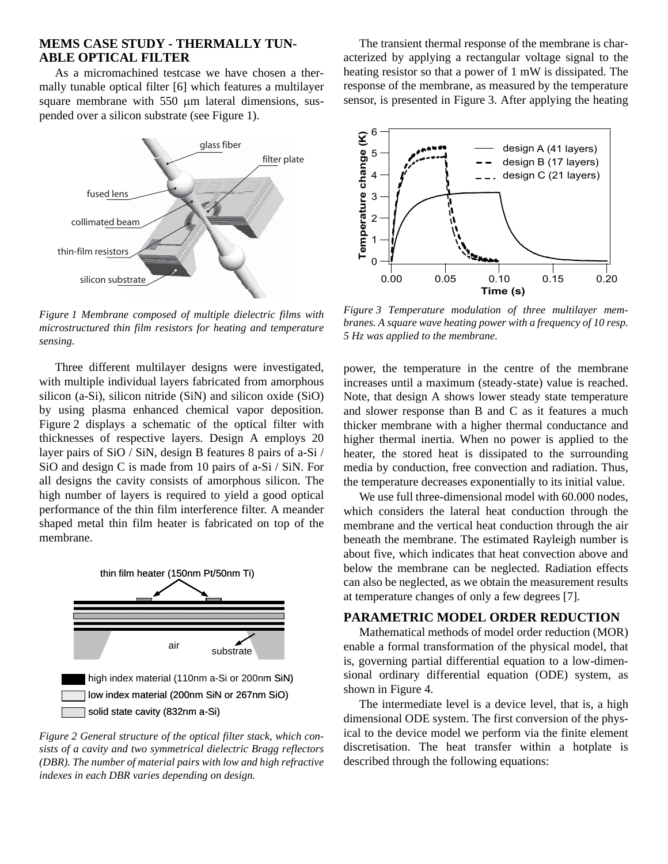### **MEMS CASE STUDY - THERMALLY TUN-ABLE OPTICAL FILTER**

As a micromachined testcase we have chosen a thermally tunable optical filter [6] which features a multilayer square membrane with 550 μm lateral dimensions, suspended over a silicon substrate (see Figure 1).



*Figure 1 Membrane composed of multiple dielectric films with microstructured thin film resistors for heating and temperature sensing.*

Three different multilayer designs were investigated, with multiple individual layers fabricated from amorphous silicon (a-Si), silicon nitride (SiN) and silicon oxide (SiO) by using plasma enhanced chemical vapor deposition. Figure 2 displays a schematic of the optical filter with thicknesses of respective layers. Design A employs 20 layer pairs of SiO / SiN, design B features 8 pairs of a-Si / SiO and design C is made from 10 pairs of a-Si / SiN. For all designs the cavity consists of amorphous silicon. The high number of layers is required to yield a good optical performance of the thin film interference filter. A meander shaped metal thin film heater is fabricated on top of the membrane.



*Figure 2 General structure of the optical filter stack, which consists of a cavity and two symmetrical dielectric Bragg reflectors (DBR). The number of material pairs with low and high refractive indexes in each DBR varies depending on design.*

The transient thermal response of the membrane is characterized by applying a rectangular voltage signal to the heating resistor so that a power of 1 mW is dissipated. The response of the membrane, as measured by the temperature sensor, is presented in Figure 3. After applying the heating



*Figure 3 Temperature modulation of three multilayer membranes. A square wave heating power with a frequency of 10 resp. 5 Hz was applied to the membrane.*

power, the temperature in the centre of the membrane increases until a maximum (steady-state) value is reached. Note, that design A shows lower steady state temperature and slower response than B and C as it features a much thicker membrane with a higher thermal conductance and higher thermal inertia. When no power is applied to the heater, the stored heat is dissipated to the surrounding media by conduction, free convection and radiation. Thus, the temperature decreases exponentially to its initial value.

We use full three-dimensional model with 60.000 nodes, which considers the lateral heat conduction through the membrane and the vertical heat conduction through the air beneath the membrane. The estimated Rayleigh number is about five, which indicates that heat convection above and below the membrane can be neglected. Radiation effects can also be neglected, as we obtain the measurement results at temperature changes of only a few degrees [7].

# **PARAMETRIC MODEL ORDER REDUCTION**

Mathematical methods of model order reduction (MOR) enable a formal transformation of the physical model, that is, governing partial differential equation to a low-dimensional ordinary differential equation (ODE) system, as shown in Figure 4.

The intermediate level is a device level, that is, a high dimensional ODE system. The first conversion of the physical to the device model we perform via the finite element discretisation. The heat transfer within a hotplate is described through the following equations: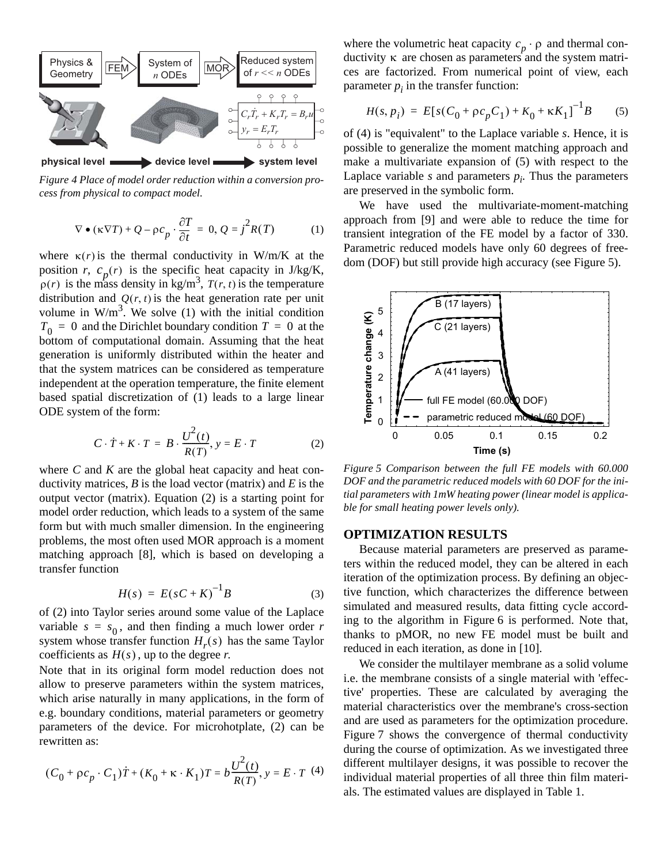

*Figure 4 Place of model order reduction within a conversion process from physical to compact model.*

$$
\nabla \bullet (\kappa \nabla T) + Q - \rho c_p \cdot \frac{\partial T}{\partial t} = 0, Q = j^2 R(T) \tag{1}
$$

where  $\kappa(r)$  is the thermal conductivity in W/m/K at the position *r*,  $c_p(r)$  is the specific heat capacity in J/kg/K,  $\int \rho(r)$  is the mass density in kg/m<sup>3</sup>,  $T(r, t)$  is the temperature distribution and  $Q(r, t)$  is the heat generation rate per unit volume in  $W/m^3$ . We solve (1) with the initial condition  $T_0 = 0$  and the Dirichlet boundary condition  $T = 0$  at the bottom of computational domain. Assuming that the heat generation is uniformly distributed within the heater and that the system matrices can be considered as temperature independent at the operation temperature, the finite element based spatial discretization of (1) leads to a large linear ODE system of the form:

$$
C \cdot \dot{T} + K \cdot T = B \cdot \frac{U^2(t)}{R(T)}, y = E \cdot T
$$
 (2)

where *C* and *K* are the global heat capacity and heat conductivity matrices, *B* is the load vector (matrix) and *E* is the output vector (matrix). Equation (2) is a starting point for model order reduction, which leads to a system of the same form but with much smaller dimension. In the engineering problems, the most often used MOR approach is a moment matching approach [8], which is based on developing a transfer function

$$
H(s) = E(sC + K)^{-1}B \tag{3}
$$

of (2) into Taylor series around some value of the Laplace variable  $s = s_0$ , and then finding a much lower order *r* system whose transfer function  $H_r(s)$  has the same Taylor coefficients as  $H(s)$ , up to the degree *r*.

Note that in its original form model reduction does not allow to preserve parameters within the system matrices, which arise naturally in many applications, in the form of e.g. boundary conditions, material parameters or geometry parameters of the device. For microhotplate, (2) can be rewritten as:

$$
(C_0 + \rho c_p \cdot C_1)T + (K_0 + \kappa \cdot K_1)T = b\frac{U^2(t)}{R(T)}, y = E \cdot T
$$
 (4)

where the volumetric heat capacity  $c_p \cdot \rho$  and thermal conductivity  $\kappa$  are chosen as parameters and the system matrices are factorized. From numerical point of view, each parameter  $p_i$  in the transfer function:

$$
H(s, p_i) = E[s(C_0 + \rho c_p C_1) + K_0 + \kappa K_1]^{-1}B
$$
 (5)

of (4) is "equivalent" to the Laplace variable *s*. Hence, it is possible to generalize the moment matching approach and make a multivariate expansion of (5) with respect to the Laplace variable  $s$  and parameters  $p_i$ . Thus the parameters are preserved in the symbolic form.

We have used the multivariate-moment-matching approach from [9] and were able to reduce the time for transient integration of the FE model by a factor of 330. Parametric reduced models have only 60 degrees of freedom (DOF) but still provide high accuracy (see Figure 5).



*Figure 5 Comparison between the full FE models with 60.000 DOF and the parametric reduced models with 60 DOF for the initial parameters with 1mW heating power (linear model is applicable for small heating power levels only).*

#### **OPTIMIZATION RESULTS**

Because material parameters are preserved as parameters within the reduced model, they can be altered in each iteration of the optimization process. By defining an objective function, which characterizes the difference between simulated and measured results, data fitting cycle according to the algorithm in Figure 6 is performed. Note that, thanks to pMOR, no new FE model must be built and reduced in each iteration, as done in [10].

We consider the multilayer membrane as a solid volume i.e. the membrane consists of a single material with 'effective' properties. These are calculated by averaging the material characteristics over the membrane's cross-section and are used as parameters for the optimization procedure. Figure 7 shows the convergence of thermal conductivity during the course of optimization. As we investigated three different multilayer designs, it was possible to recover the individual material properties of all three thin film materials. The estimated values are displayed in Table 1.